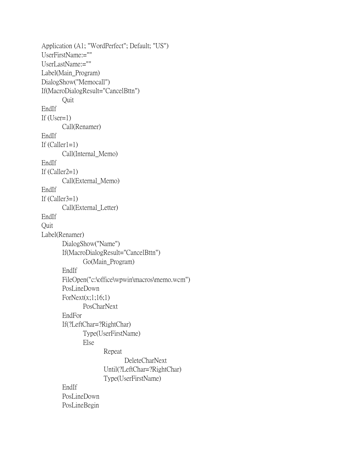```
Application (A1; "WordPerfect"; Default; "US")
UserFirstName:=""
UserLastName:=""
Label(Main_Program)
DialogShow("Memocall")
If(MacroDialogResult="CancelBttn")
       Quit
EndIf
If (User=1)Call(Renamer)
EndIf
If (Caller1=1)Call(Internal_Memo)
EndIf
If (Caller2=1)Call(External_Memo)
EndIf
If (Caller3=1)Call(External_Letter)
EndIf
Quit
Label(Renamer)
       DialogShow("Name")
       If(MacroDialogResult="CancelBttn")
              Go(Main_Program)
       EndIf
       FileOpen("c:\office\wpwin\macros\memo.wcm")
       PosLineDown
       ForNext(x;1;16;1)PosCharNext
       EndFor
       If(?LeftChar=?RightChar)
              Type(UserFirstName)
              Else 
                     Repeat
                           DeleteCharNext
                     Until(?LeftChar=?RightChar)
                     Type(UserFirstName)
       EndIf
       PosLineDown
       PosLineBegin
```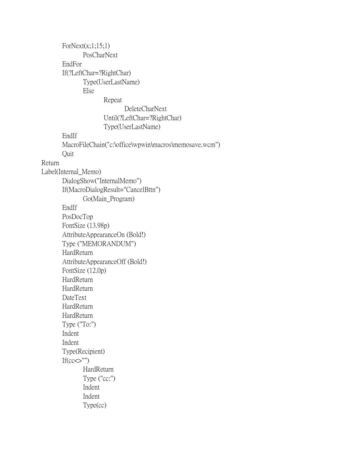$ForNext(x;1;15;1)$ PosCharNext EndFor If(?LeftChar=?RightChar) Type(UserLastName) Else Repeat DeleteCharNext Until(?LeftChar=?RightChar) Type(UserLastName) EndIf MacroFileChain("c:\office\wpwin\macros\memosave.wcm") Quit Return Label(Internal\_Memo) DialogShow("InternalMemo") If(MacroDialogResult="CancelBttn") Go(Main\_Program) EndIf PosDocTop FontSize (13.98p) AttributeAppearanceOn (Bold!) Type ("MEMORANDUM") HardReturn AttributeAppearanceOff (Bold!) FontSize (12.0p) HardReturn HardReturn DateText HardReturn HardReturn Type ("To:") Indent Indent Type(Recipient) If( $cc \ll$ "") HardReturn Type ("cc:") Indent Indent Type(cc)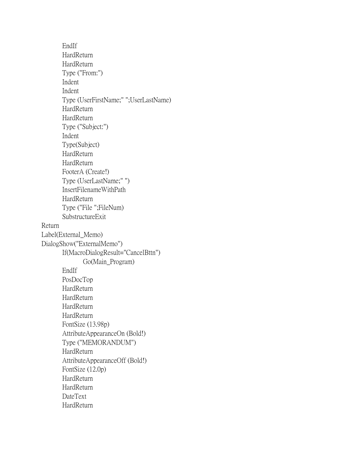EndIf **HardReturn HardReturn** Type ("From:") Indent Indent Type (UserFirstName;" ";UserLastName) HardReturn HardReturn Type ("Subject:") Indent Type(Subject) **HardReturn HardReturn** FooterA (Create!) Type (UserLastName;" ") InsertFilenameWithPath **HardReturn** Type ("File ";FileNum) SubstructureExit Return Label(External\_Memo) DialogShow("ExternalMemo") If(MacroDialogResult="CancelBttn") Go(Main\_Program) EndIf PosDocTop **HardReturn** HardReturn HardReturn HardReturn FontSize (13.98p) AttributeAppearanceOn (Bold!) Type ("MEMORANDUM") HardReturn AttributeAppearanceOff (Bold!) FontSize (12.0p) HardReturn **HardReturn** DateText **HardReturn**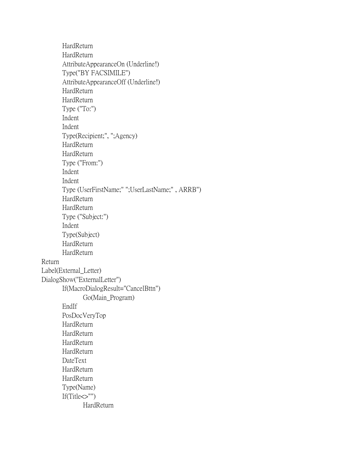HardReturn **HardReturn** AttributeAppearanceOn (Underline!) Type("BY FACSIMILE") AttributeAppearanceOff (Underline!) HardReturn HardReturn Type ("To:") Indent Indent Type(Recipient;", ";Agency) HardReturn HardReturn Type ("From:") Indent Indent Type (UserFirstName;" ";UserLastName;" , ARRB") HardReturn HardReturn Type ("Subject:") Indent Type(Subject) HardReturn HardReturn Return Label(External\_Letter) DialogShow("ExternalLetter") If(MacroDialogResult="CancelBttn") Go(Main\_Program) EndIf PosDocVeryTop HardReturn HardReturn HardReturn HardReturn DateText HardReturn HardReturn Type(Name) If(Title<>"") HardReturn